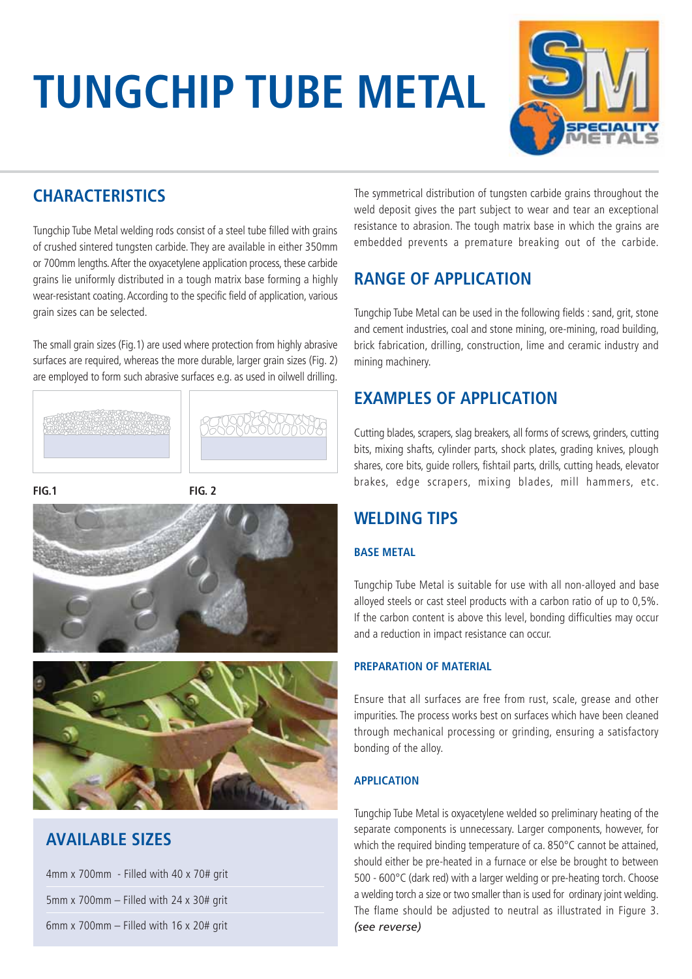# **TUNGCHIP TUBE METAL**



## **CHARACTERISTICS**

Tungchip Tube Metal welding rods consist of a steel tube filled with grains of crushed sintered tungsten carbide. They are available in either 350mm or 700mm lengths. After the oxyacetylene application process, these carbide grains lie uniformly distributed in a tough matrix base forming a highly wear-resistant coating. According to the specific field of application, various grain sizes can be selected.

The small grain sizes (Fig.1) are used where protection from highly abrasive surfaces are required, whereas the more durable, larger grain sizes (Fig. 2) are employed to form such abrasive surfaces e.g. as used in oilwell drilling.









## **AVAILABLE SIZES**

| 4mm x 700mm - Filled with 40 x 70# grit   |  |  |  |
|-------------------------------------------|--|--|--|
| 5mm x 700mm $-$ Filled with 24 x 30# grit |  |  |  |
| 6mm x 700mm $-$ Filled with 16 x 20# grit |  |  |  |

The symmetrical distribution of tungsten carbide grains throughout the weld deposit gives the part subject to wear and tear an exceptional resistance to abrasion. The tough matrix base in which the grains are embedded prevents a premature breaking out of the carbide.

## **RANGE OF APPLICATION**

Tungchip Tube Metal can be used in the following fields : sand, grit, stone and cement industries, coal and stone mining, ore-mining, road building, brick fabrication, drilling, construction, lime and ceramic industry and mining machinery.

## **EXAMPLES OF APPLICATION**

Cutting blades, scrapers, slag breakers, all forms of screws, grinders, cutting bits, mixing shafts, cylinder parts, shock plates, grading knives, plough shares, core bits, guide rollers, fishtail parts, drills, cutting heads, elevator brakes, edge scrapers, mixing blades, mill hammers, etc.

## **WELDING TIPS**

#### **BASE METAL**

Tungchip Tube Metal is suitable for use with all non-alloyed and base alloyed steels or cast steel products with a carbon ratio of up to 0,5%. If the carbon content is above this level, bonding difficulties may occur and a reduction in impact resistance can occur.

#### **PREPARATION OF MATERIAL**

Ensure that all surfaces are free from rust, scale, grease and other impurities. The process works best on surfaces which have been cleaned through mechanical processing or grinding, ensuring a satisfactory bonding of the alloy.

#### **APPLICATION**

Tungchip Tube Metal is oxyacetylene welded so preliminary heating of the separate components is unnecessary. Larger components, however, for which the required binding temperature of ca. 850°C cannot be attained, should either be pre-heated in a furnace or else be brought to between 500 - 600°C (dark red) with a larger welding or pre-heating torch. Choose a welding torch a size or two smaller than is used for ordinary joint welding. The flame should be adjusted to neutral as illustrated in Figure 3. *(see reverse)*